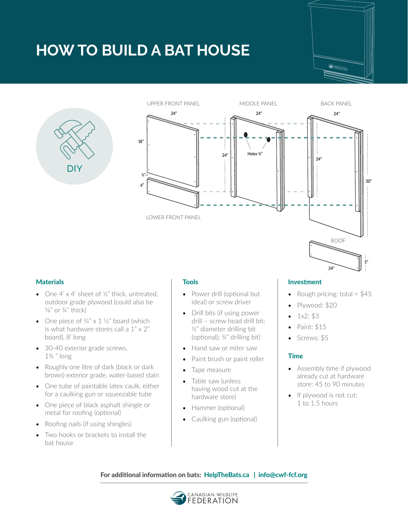## **HOW TO BUILD A BAT HOUSE**







- One  $4' \times 4'$  sheet of  $\frac{1}{2}$ " thick, untreated, outdoor grade plywood (could also be  $5/8$ " or  $3/4$ " thick)
- One piece of  $\frac{3}{4}$ " x 1  $\frac{1}{2}$ " board (which is what hardware stores call a  $1" \times 2"$ board), 8' long
- 30-40 exterior grade screws, 1¾ " long
- Roughly one litre of dark (black or dark brown) exterior grade, water-based stain
- One tube of paintable latex caulk, either for a caulking gun or squeezable tube
- One piece of black asphalt shingle or metal for roofing (optional)
- Roofing nails (if using shingles)
- Two hooks or brackets to install the bat house

- Power drill (optional but ideal) or screw driver
- Drill bits (if using power drill – screw head drill bit; ½" diameter drilling bit (optional); ¾" drilling bit)
- Hand saw or miter saw
- Paint brush or paint roller
- Tape measure
- Table saw (unless having wood cut at the hardware store)
- Hammer (optional)
- Caulking gun (optional)

### Materials Tools Investment

• Rough pricing: total  $< $45$ 

**24"**

**5"**

- Plywood: \$20
- 1x2: \$3
- Paint: \$15
- Screws: \$5

### Time

- Assembly time if plywood already cut at hardware store: 45 to 90 minutes
- If plywood is not cut: 1 to 1.5 hours

For additional information on bats: [HelpTheBats.ca](http://HelpTheBats.ca) | info@cwf-fcf.org

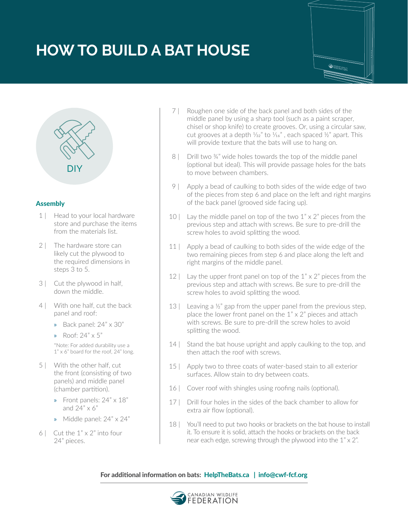# **HOW TO BUILD A BAT HOUSE**





### Assembly

- 1 | Head to your local hardware store and purchase the items from the materials list.
- 2 | The hardware store can likely cut the plywood to the required dimensions in steps 3 to 5.
- 3 | Cut the plywood in half, down the middle.
- 4 | With one half, cut the back panel and roof:
	- » Back panel: 24" x 30"
	- » Roof: 24" x 5"

\*Note: For added durability use a 1" x 6" board for the roof, 24" long.

- 5 | With the other half, cut the front (consisting of two panels) and middle panel (chamber partition).
	- » Front panels: 24" x 18" and  $24" \times 6"$
	- » Middle panel: 24" x 24"
- 6 | Cut the  $1" \times 2"$  into four 24" pieces.
- 7 | Roughen one side of the back panel and both sides of the middle panel by using a sharp tool (such as a paint scraper, chisel or shop knife) to create grooves. Or, using a circular saw, cut grooves at a depth  $\frac{1}{32}$ " to  $\frac{1}{16}$ ", each spaced  $\frac{1}{2}$ " apart. This will provide texture that the bats will use to hang on.
- 8 | Drill two 34" wide holes towards the top of the middle panel (optional but ideal). This will provide passage holes for the bats to move between chambers.
- 9 | Apply a bead of caulking to both sides of the wide edge of two of the pieces from step 6 and place on the left and right margins of the back panel (grooved side facing up).
- 10 | Lay the middle panel on top of the two  $1" \times 2"$  pieces from the previous step and attach with screws. Be sure to pre-drill the screw holes to avoid splitting the wood.
- 11 | Apply a bead of caulking to both sides of the wide edge of the two remaining pieces from step 6 and place along the left and right margins of the middle panel.
- 12 | Lay the upper front panel on top of the  $1" \times 2"$  pieces from the previous step and attach with screws. Be sure to pre-drill the screw holes to avoid splitting the wood.
- 13 | Leaving a  $\frac{1}{2}$ " gap from the upper panel from the previous step, place the lower front panel on the  $1" \times 2"$  pieces and attach with screws. Be sure to pre-drill the screw holes to avoid splitting the wood.
- 14 | Stand the bat house upright and apply caulking to the top, and then attach the roof with screws.
- 15 | Apply two to three coats of water-based stain to all exterior surfaces. Allow stain to dry between coats.
- 16 | Cover roof with shingles using roofing nails (optional).
- 17 | Drill four holes in the sides of the back chamber to allow for extra air flow (optional).
- 18 | You'll need to put two hooks or brackets on the bat house to install it. To ensure it is solid, attach the hooks or brackets on the back near each edge, screwing through the plywood into the 1" x 2".

### For additional information on bats: [HelpTheBats.ca](http://HelpTheBats.ca) | info@cwf-fcf.org